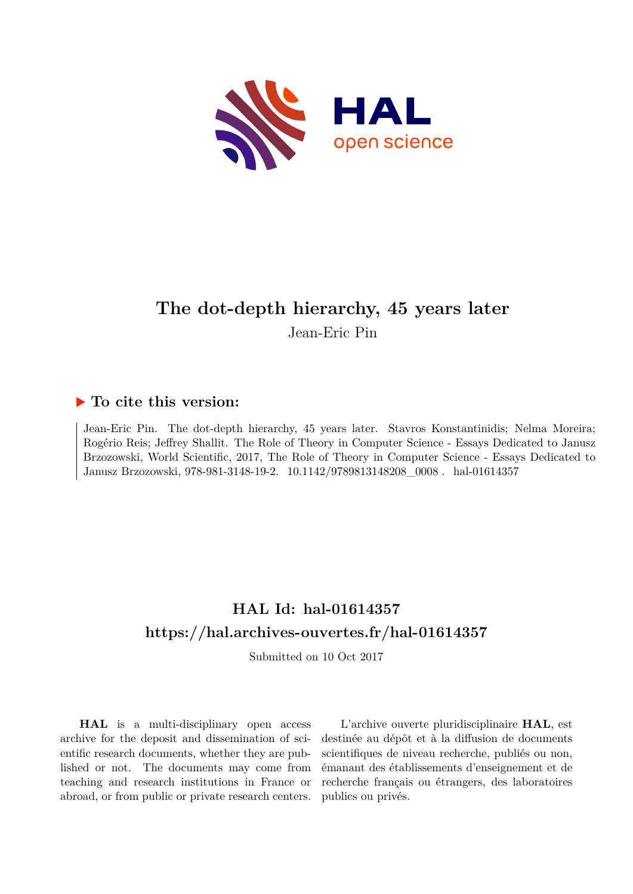

# **The dot-depth hierarchy, 45 years later** Jean-Eric Pin

## **To cite this version:**

Jean-Eric Pin. The dot-depth hierarchy, 45 years later. Stavros Konstantinidis; Nelma Moreira; Rogério Reis; Jeffrey Shallit. The Role of Theory in Computer Science - Essays Dedicated to Janusz Brzozowski, World Scientific, 2017, The Role of Theory in Computer Science - Essays Dedicated to Janusz Brzozowski, 978-981-3148-19-2. 10.1142/9789813148208 0008. hal-01614357

# **HAL Id: hal-01614357 <https://hal.archives-ouvertes.fr/hal-01614357>**

Submitted on 10 Oct 2017

**HAL** is a multi-disciplinary open access archive for the deposit and dissemination of scientific research documents, whether they are published or not. The documents may come from teaching and research institutions in France or abroad, or from public or private research centers.

L'archive ouverte pluridisciplinaire **HAL**, est destinée au dépôt et à la diffusion de documents scientifiques de niveau recherche, publiés ou non, émanant des établissements d'enseignement et de recherche français ou étrangers, des laboratoires publics ou privés.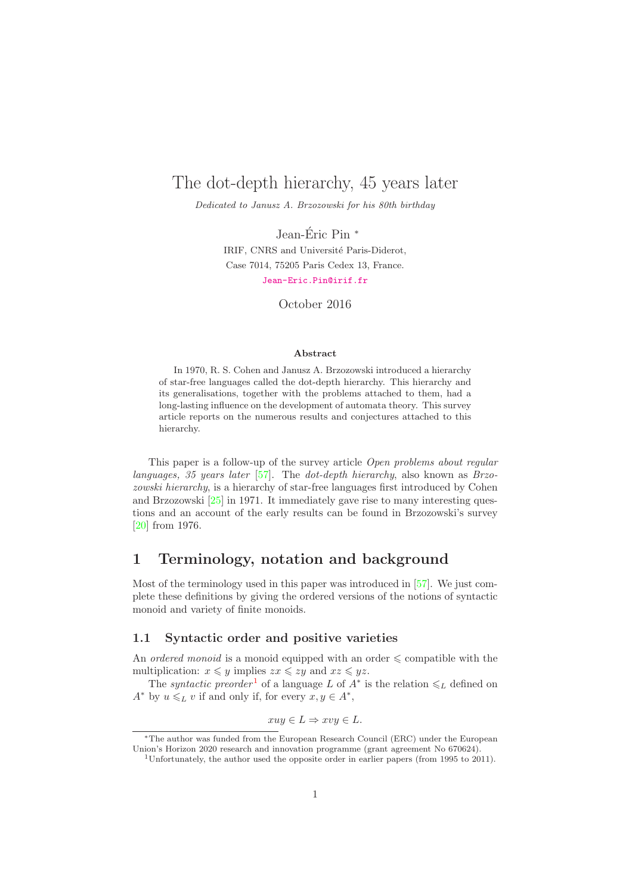## The dot-depth hierarchy, 45 years later

Dedicated to Janusz A. Brzozowski for his 80th birthday

Jean-Éric Pin  $*$ IRIF, CNRS and Université Paris-Diderot, Case 7014, 75205 Paris Cedex 13, France. <Jean-Eric.Pin@irif.fr>

October 2016

#### Abstract

In 1970, R. S. Cohen and Janusz A. Brzozowski introduced a hierarchy of star-free languages called the dot-depth hierarchy. This hierarchy and its generalisations, together with the problems attached to them, had a long-lasting influence on the development of automata theory. This survey article reports on the numerous results and conjectures attached to this hierarchy.

This paper is a follow-up of the survey article *Open problems about regular languages, 35 years later* [57]. The *dot-depth hierarchy*, also known as *Brzozowski hierarchy*, is a hierarchy of star-free languages first introduced by Cohen and Brzozowski [25] in 1971. It immediately gave rise to many interesting questions and an account of the early results can be found in Brzozowski's survey [20] from 1976.

### 1 Terminology, notation and background

Most of the terminology used in this paper was introduced in [57]. We just complete these definitions by giving the ordered versions of the notions of syntactic monoid and variety of finite monoids.

#### 1.1 Syntactic order and positive varieties

An *ordered monoid* is a monoid equipped with an order  $\leq$  compatible with the multiplication:  $x \leq y$  implies  $zx \leq zy$  and  $xz \leq yz$ .

The *syntactic preorder*<sup>1</sup> of a language L of  $A^*$  is the relation  $\leq_L$  defined on  $A^*$  by  $u \leq L v$  if and only if, for every  $x, y \in A^*$ ,

$$
xuy \in L \Rightarrow xvy \in L.
$$

<sup>∗</sup>The author was funded from the European Research Council (ERC) under the European Union's Horizon 2020 research and innovation programme (grant agreement No 670624).

<sup>&</sup>lt;sup>1</sup>Unfortunately, the author used the opposite order in earlier papers (from 1995 to 2011).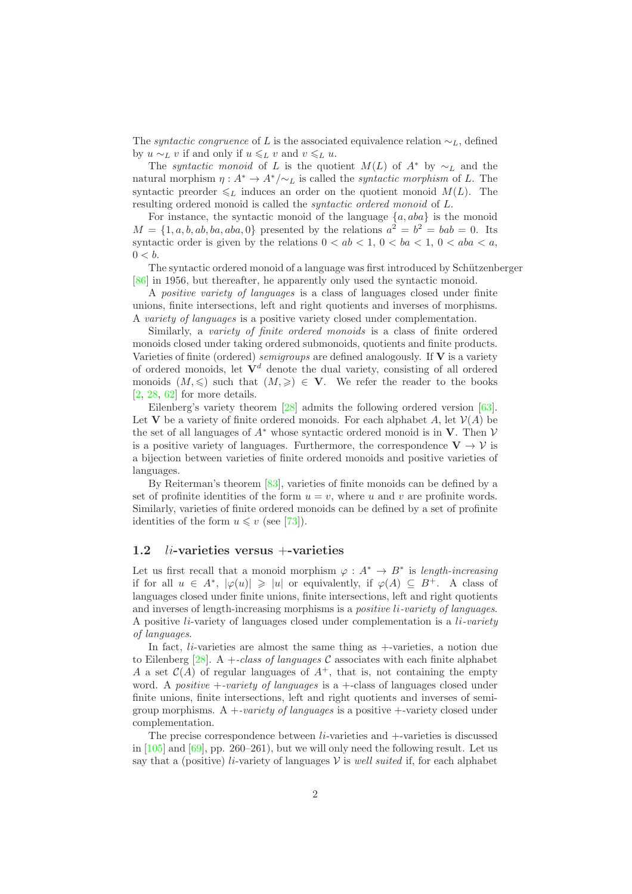The *syntactic congruence* of L is the associated equivalence relation  $\sim_L$ , defined by  $u \sim_L v$  if and only if  $u \leq_L v$  and  $v \leq_L u$ .

The *syntactic monoid* of L is the quotient  $M(L)$  of  $A^*$  by  $\sim_L$  and the natural morphism  $\eta: A^* \to A^*/\sim_L$  is called the *syntactic morphism* of L. The syntactic preorder  $\leq_L$  induces an order on the quotient monoid  $M(L)$ . The resulting ordered monoid is called the *syntactic ordered monoid* of L.

For instance, the syntactic monoid of the language  $\{a, aba\}$  is the monoid  $M = \{1, a, b, ab, ba, aba, 0\}$  presented by the relations  $a^2 = b^2 = bab = 0$ . Its syntactic order is given by the relations  $0 < ab < 1$ ,  $0 < ba < 1$ ,  $0 < aba < a$ ,  $0 < b$ .

The syntactic ordered monoid of a language was first introduced by Schützenberger [86] in 1956, but thereafter, he apparently only used the syntactic monoid.

A *positive variety of languages* is a class of languages closed under finite unions, finite intersections, left and right quotients and inverses of morphisms. A *variety of languages* is a positive variety closed under complementation.

Similarly, a *variety of finite ordered monoids* is a class of finite ordered monoids closed under taking ordered submonoids, quotients and finite products. Varieties of finite (ordered) *semigroups* are defined analogously. If V is a variety of ordered monoids, let  $\mathbf{V}^d$  denote the dual variety, consisting of all ordered monoids  $(M, \leqslant)$  such that  $(M, \geqslant) \in V$ . We refer the reader to the books  $[2, 28, 62]$  for more details.

Eilenberg's variety theorem [28] admits the following ordered version [63]. Let V be a variety of finite ordered monoids. For each alphabet A, let  $\mathcal{V}(A)$  be the set of all languages of  $A^*$  whose syntactic ordered monoid is in V. Then  $\mathcal V$ is a positive variety of languages. Furthermore, the correspondence  $V \to V$  is a bijection between varieties of finite ordered monoids and positive varieties of languages.

By Reiterman's theorem [83], varieties of finite monoids can be defined by a set of profinite identities of the form  $u = v$ , where u and v are profinite words. Similarly, varieties of finite ordered monoids can be defined by a set of profinite identities of the form  $u \leq v$  (see [73]).

#### 1.2  $li$ -varieties versus  $+$ -varieties

Let us first recall that a monoid morphism  $\varphi : A^* \to B^*$  is *length-increasing* if for all  $u \in A^*$ ,  $|\varphi(u)| \geq |u|$  or equivalently, if  $\varphi(A) \subseteq B^+$ . A class of languages closed under finite unions, finite intersections, left and right quotients and inverses of length-increasing morphisms is a *positive* li*-variety of languages*. A positive li-variety of languages closed under complementation is a li*-variety of languages*.

In fact, *li*-varieties are almost the same thing as  $+$ -varieties, a notion due to Eilenberg [28]. A +*-class of languages* C associates with each finite alphabet A a set  $\mathcal{C}(A)$  of regular languages of  $A^+$ , that is, not containing the empty word. A *positive* +*-variety of languages* is a +-class of languages closed under finite unions, finite intersections, left and right quotients and inverses of semigroup morphisms. A +*-variety of languages* is a positive +-variety closed under complementation.

The precise correspondence between  $li$ -varieties and  $+$ -varieties is discussed in [105] and [69], pp. 260–261), but we will only need the following result. Let us say that a (positive) *li*-variety of languages  $V$  is *well suited* if, for each alphabet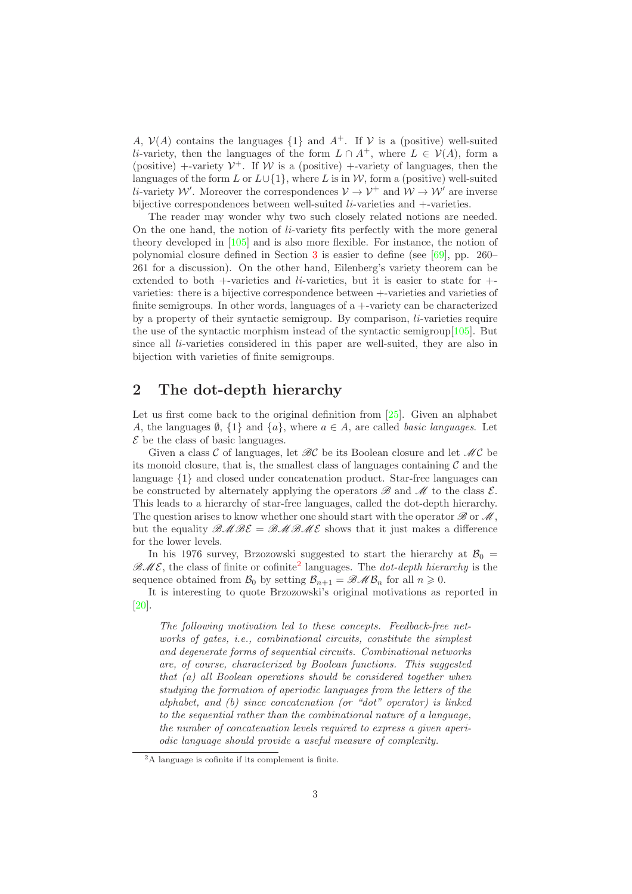A,  $V(A)$  contains the languages  $\{1\}$  and  $A^+$ . If V is a (positive) well-suited li-variety, then the languages of the form  $L \cap A^+$ , where  $L \in \mathcal{V}(A)$ , form a (positive) +-variety  $V^+$ . If W is a (positive) +-variety of languages, then the languages of the form L or  $L\cup\{1\}$ , where L is in W, form a (positive) well-suited li-variety W'. Moreover the correspondences  $V \to V^+$  and  $W \to W'$  are inverse bijective correspondences between well-suited *li*-varieties and +-varieties.

The reader may wonder why two such closely related notions are needed. On the one hand, the notion of  $li$ -variety fits perfectly with the more general theory developed in [105] and is also more flexible. For instance, the notion of polynomial closure defined in Section 3 is easier to define (see [69], pp. 260– 261 for a discussion). On the other hand, Eilenberg's variety theorem can be extended to both +-varieties and li-varieties, but it is easier to state for + varieties: there is a bijective correspondence between +-varieties and varieties of finite semigroups. In other words, languages of a +-variety can be characterized by a property of their syntactic semigroup. By comparison,  $li$ -varieties require the use of the syntactic morphism instead of the syntactic semigroup[105]. But since all *li*-varieties considered in this paper are well-suited, they are also in bijection with varieties of finite semigroups.

### 2 The dot-depth hierarchy

Let us first come back to the original definition from [25]. Given an alphabet A, the languages  $\emptyset$ ,  $\{1\}$  and  $\{a\}$ , where  $a \in A$ , are called *basic languages*. Let  $\mathcal E$  be the class of basic languages.

Given a class C of languages, let  $\mathscr{B}\mathcal{C}$  be its Boolean closure and let  $\mathscr{M}\mathcal{C}$  be its monoid closure, that is, the smallest class of languages containing  $\mathcal C$  and the language {1} and closed under concatenation product. Star-free languages can be constructed by alternately applying the operators  $\mathscr B$  and  $\mathscr M$  to the class  $\mathcal E$ . This leads to a hierarchy of star-free languages, called the dot-depth hierarchy. The question arises to know whether one should start with the operator  $\mathscr{B}$  or  $\mathscr{M}$ , but the equality  $\mathcal{BMOB\mathcal{E}} = \mathcal{BMOB\mathcal{E}}$  shows that it just makes a difference for the lower levels.

In his 1976 survey, Brzozowski suggested to start the hierarchy at  $B_0 =$  $\mathcal{BME}$ , the class of finite or cofinite<sup>2</sup> languages. The *dot-depth hierarchy* is the sequence obtained from  $\mathcal{B}_0$  by setting  $\mathcal{B}_{n+1} = \mathcal{BMO}_n$  for all  $n \geq 0$ .

It is interesting to quote Brzozowski's original motivations as reported in [20].

*The following motivation led to these concepts. Feedback-free networks of gates, i.e., combinational circuits, constitute the simplest and degenerate forms of sequential circuits. Combinational networks are, of course, characterized by Boolean functions. This suggested that (a) all Boolean operations should be considered together when studying the formation of aperiodic languages from the letters of the alphabet, and (b) since concatenation (or "dot" operator) is linked to the sequential rather than the combinational nature of a language, the number of concatenation levels required to express a given aperiodic language should provide a useful measure of complexity.*

<sup>2</sup>A language is cofinite if its complement is finite.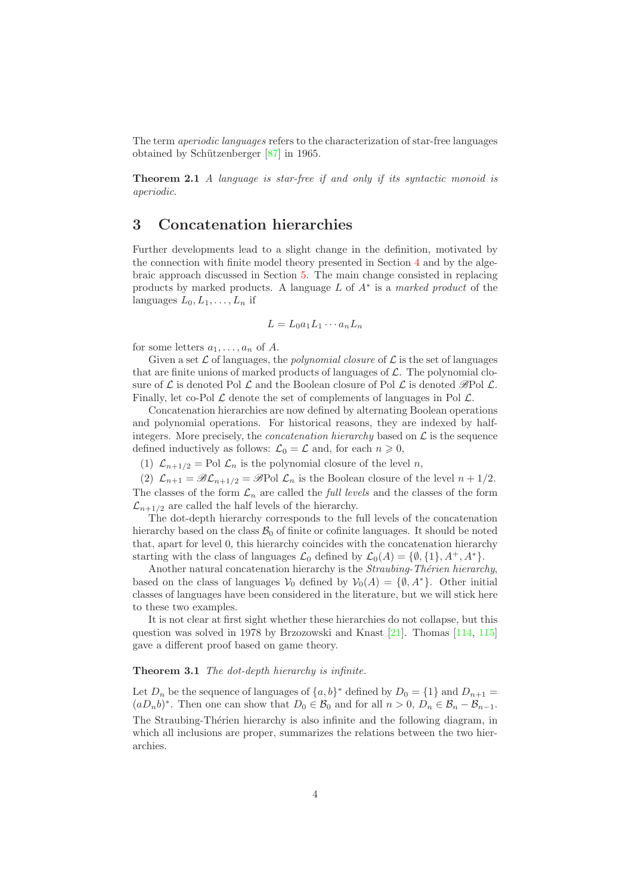The term *aperiodic languages* refers to the characterization of star-free languages obtained by Schützenberger  $[87]$  in 1965.

Theorem 2.1 *A language is star-free if and only if its syntactic monoid is aperiodic.*

### 3 Concatenation hierarchies

Further developments lead to a slight change in the definition, motivated by the connection with finite model theory presented in Section 4 and by the algebraic approach discussed in Section 5. The main change consisted in replacing products by marked products. A language L of A<sup>∗</sup> is a *marked product* of the languages  $L_0, L_1, \ldots, L_n$  if

$$
L = L_0 a_1 L_1 \cdots a_n L_n
$$

for some letters  $a_1, \ldots, a_n$  of A.

Given a set  $\mathcal L$  of languages, the *polynomial closure* of  $\mathcal L$  is the set of languages that are finite unions of marked products of languages of  $\mathcal{L}$ . The polynomial closure of  $\mathcal L$  is denoted Pol  $\mathcal L$  and the Boolean closure of Pol  $\mathcal L$  is denoted  $\mathscr B$ Pol  $\mathcal L$ . Finally, let co-Pol  $\mathcal L$  denote the set of complements of languages in Pol  $\mathcal L$ .

Concatenation hierarchies are now defined by alternating Boolean operations and polynomial operations. For historical reasons, they are indexed by halfintegers. More precisely, the *concatenation hierarchy* based on  $\mathcal{L}$  is the sequence defined inductively as follows:  $\mathcal{L}_0 = \mathcal{L}$  and, for each  $n \geq 0$ ,

(1)  $\mathcal{L}_{n+1/2} = \text{Pol }\mathcal{L}_n$  is the polynomial closure of the level n,

(2)  $\mathcal{L}_{n+1} = \mathscr{B} \mathcal{L}_{n+1/2} = \mathscr{B}$ Pol  $\mathcal{L}_n$  is the Boolean closure of the level  $n+1/2$ .

The classes of the form  $\mathcal{L}_n$  are called the *full levels* and the classes of the form  $\mathcal{L}_{n+1/2}$  are called the half levels of the hierarchy.

The dot-depth hierarchy corresponds to the full levels of the concatenation hierarchy based on the class  $B_0$  of finite or cofinite languages. It should be noted that, apart for level 0, this hierarchy coincides with the concatenation hierarchy starting with the class of languages  $\mathcal{L}_0$  defined by  $\mathcal{L}_0(A) = \{ \emptyset, \{1\}, A^+, A^* \}.$ 

Another natural concatenation hierarchy is the *Straubing-Thérien hierarchy*, based on the class of languages  $V_0$  defined by  $V_0(A) = \{ \emptyset, A^* \}.$  Other initial classes of languages have been considered in the literature, but we will stick here to these two examples.

It is not clear at first sight whether these hierarchies do not collapse, but this question was solved in 1978 by Brzozowski and Knast [21]. Thomas [114, 115] gave a different proof based on game theory.

#### Theorem 3.1 *The dot-depth hierarchy is infinite.*

Let  $D_n$  be the sequence of languages of  $\{a, b\}^*$  defined by  $D_0 = \{1\}$  and  $D_{n+1} =$  $(aD_n b)^*$ . Then one can show that  $D_0 \in \mathcal{B}_0$  and for all  $n > 0$ ,  $D_n \in \mathcal{B}_n - \mathcal{B}_{n-1}$ . The Straubing-Thérien hierarchy is also infinite and the following diagram, in which all inclusions are proper, summarizes the relations between the two hierarchies.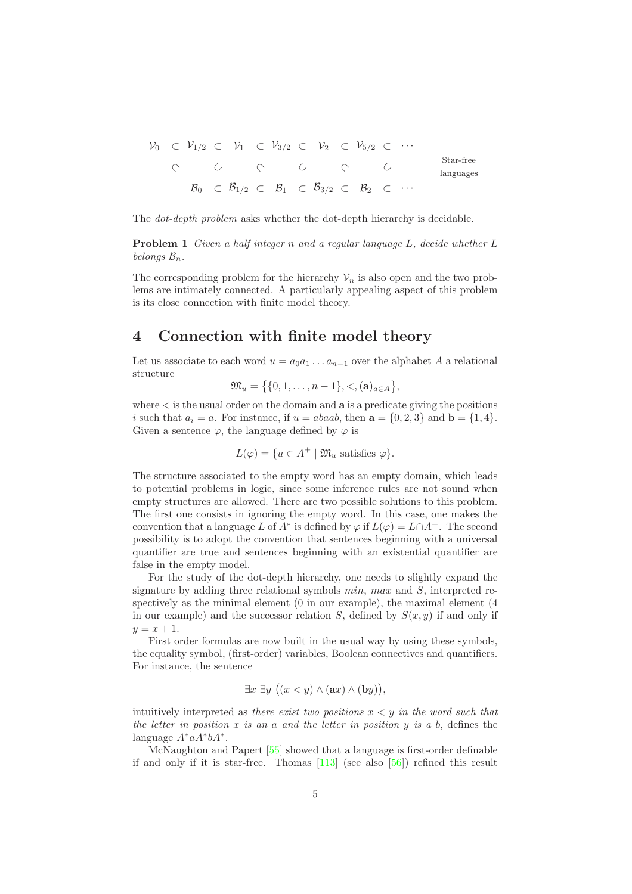V<sup>0</sup> V1/<sup>2</sup> V<sup>1</sup> V3/<sup>2</sup> V<sup>2</sup> V5/<sup>2</sup> · · · Star-free languages B<sup>0</sup> B1/<sup>2</sup> B<sup>1</sup> B3/<sup>2</sup> B<sup>2</sup> · · · ⊂ ⊂ ⊂ ⊂ ⊂ ⊂ ⊂ ⊂⊂ ⊂⊂ ⊂⊂ ⊂ ⊂ ⊂ ⊂

The *dot-depth problem* asks whether the dot-depth hierarchy is decidable.

Problem 1 *Given a half integer* n *and a regular language* L*, decide whether* L *belongs*  $\mathcal{B}_n$ *.* 

The corresponding problem for the hierarchy  $\mathcal{V}_n$  is also open and the two problems are intimately connected. A particularly appealing aspect of this problem is its close connection with finite model theory.

### 4 Connection with finite model theory

Let us associate to each word  $u = a_0 a_1 \dots a_{n-1}$  over the alphabet A a relational structure

 $\mathfrak{M}_u = \{ \{0, 1, \ldots, n-1\}, \lt, , (\mathbf{a})_{a \in A} \},$ 

where  $\lt$  is the usual order on the domain and  $a$  is a predicate giving the positions i such that  $a_i = a$ . For instance, if  $u = abaab$ , then  $\mathbf{a} = \{0, 2, 3\}$  and  $\mathbf{b} = \{1, 4\}$ . Given a sentence  $\varphi$ , the language defined by  $\varphi$  is

$$
L(\varphi) = \{ u \in A^+ \mid \mathfrak{M}_u \text{ satisfies } \varphi \}.
$$

The structure associated to the empty word has an empty domain, which leads to potential problems in logic, since some inference rules are not sound when empty structures are allowed. There are two possible solutions to this problem. The first one consists in ignoring the empty word. In this case, one makes the convention that a language L of  $A^*$  is defined by  $\varphi$  if  $L(\varphi) = L \cap A^+$ . The second possibility is to adopt the convention that sentences beginning with a universal quantifier are true and sentences beginning with an existential quantifier are false in the empty model.

For the study of the dot-depth hierarchy, one needs to slightly expand the signature by adding three relational symbols  $min$ ,  $max$  and  $S$ , interpreted respectively as the minimal element (0 in our example), the maximal element (4 in our example) and the successor relation S, defined by  $S(x, y)$  if and only if  $y = x + 1.$ 

First order formulas are now built in the usual way by using these symbols, the equality symbol, (first-order) variables, Boolean connectives and quantifiers. For instance, the sentence

$$
\exists x \; \exists y \; ((x < y) \land (ax) \land (by)),
$$

intuitively interpreted as *there exist two positions* x < y *in the word such that the letter in position* x *is an* a *and the letter in position* y *is a* b, defines the language  $A^*aA^*bA^*$ .

McNaughton and Papert [55] showed that a language is first-order definable if and only if it is star-free. Thomas [113] (see also [56]) refined this result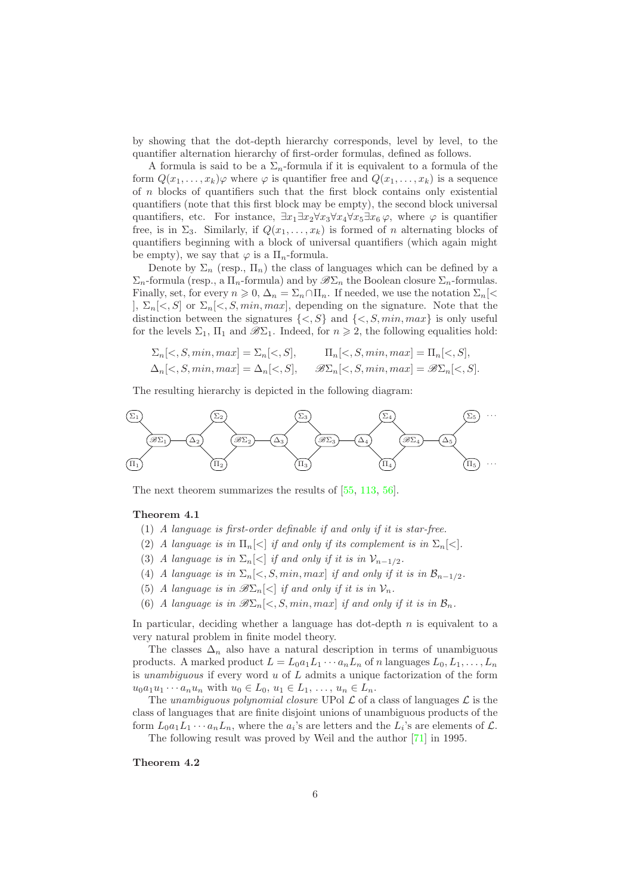by showing that the dot-depth hierarchy corresponds, level by level, to the quantifier alternation hierarchy of first-order formulas, defined as follows.

A formula is said to be a  $\Sigma_n$ -formula if it is equivalent to a formula of the form  $Q(x_1, \ldots, x_k)$  where  $\varphi$  is quantifier free and  $Q(x_1, \ldots, x_k)$  is a sequence of  $n$  blocks of quantifiers such that the first block contains only existential quantifiers (note that this first block may be empty), the second block universal quantifiers, etc. For instance,  $\exists x_1 \exists x_2 \forall x_3 \forall x_4 \forall x_5 \exists x_6 \varphi$ , where  $\varphi$  is quantifier free, is in  $\Sigma_3$ . Similarly, if  $Q(x_1, \ldots, x_k)$  is formed of n alternating blocks of quantifiers beginning with a block of universal quantifiers (which again might be empty), we say that  $\varphi$  is a  $\Pi_n$ -formula.

Denote by  $\Sigma_n$  (resp.,  $\Pi_n$ ) the class of languages which can be defined by a  $\Sigma_n$ -formula (resp., a  $\Pi_n$ -formula) and by  $\mathscr{B}\Sigma_n$  the Boolean closure  $\Sigma_n$ -formulas. Finally, set, for every  $n \geq 0$ ,  $\Delta_n = \Sigma_n \cap \Pi_n$ . If needed, we use the notation  $\Sigma_n$ [< ],  $\Sigma_n[\langle S, S]$  or  $\Sigma_n[\langle S, \text{min}, \text{max}]$ , depending on the signature. Note that the distinction between the signatures  $\{<, S\}$  and  $\{<, S, min, max\}$  is only useful for the levels  $\Sigma_1$ ,  $\Pi_1$  and  $\mathscr{B}\Sigma_1$ . Indeed, for  $n \geq 2$ , the following equalities hold:

$$
\Sigma_n[\langle S, \min, \max] = \Sigma_n[\langle S, S], \qquad \Pi_n[\langle S, \min, \max] = \Pi_n[\langle S, S],
$$
  

$$
\Delta_n[\langle S, \min, \max] = \Delta_n[\langle S, S], \qquad \mathcal{B}\Sigma_n[\langle S, \min, \max] = \mathcal{B}\Sigma_n[\langle S, S].
$$

The resulting hierarchy is depicted in the following diagram:



The next theorem summarizes the results of [55, 113, 56].

#### Theorem 4.1

- (1) *A language is first-order definable if and only if it is star-free.*
- (2) *A language is in*  $\Pi_n \leq |f|$  *if and only if its complement is in*  $\Sigma_n \leq |f|$ .
- (3) *A language is in*  $\Sigma_n$ [<] *if and only if it is in*  $\mathcal{V}_{n-1/2}$ *.*
- (4) *A language is in*  $\Sigma_n \leq S$ ,  $min, max$  *if and only if it is in*  $\mathcal{B}_{n-1/2}$ *.*
- (5) *A language is in*  $\mathscr{B}\Sigma_n\leq |f|$  *if and only if it is in*  $\mathcal{V}_n$ .
- (6) *A language is in*  $\mathscr{B}\Sigma_n\leq S$ ,  $min, max$  *if and only if it is in*  $\mathcal{B}_n$ .

In particular, deciding whether a language has dot-depth  $n$  is equivalent to a very natural problem in finite model theory.

The classes  $\Delta_n$  also have a natural description in terms of unambiguous products. A marked product  $L = L_0 a_1 L_1 \cdots a_n L_n$  of n languages  $L_0, L_1, \ldots, L_n$ is *unambiguous* if every word u of L admits a unique factorization of the form  $u_0a_1u_1 \cdots a_nu_n$  with  $u_0 \in L_0$ ,  $u_1 \in L_1$ , ...,  $u_n \in L_n$ .

The *unambiguous polynomial closure* UPol  $\mathcal L$  of a class of languages  $\mathcal L$  is the class of languages that are finite disjoint unions of unambiguous products of the form  $L_0a_1L_1\cdots a_nL_n$ , where the  $a_i$ 's are letters and the  $L_i$ 's are elements of  $\mathcal{L}$ .

The following result was proved by Weil and the author [71] in 1995.

#### Theorem 4.2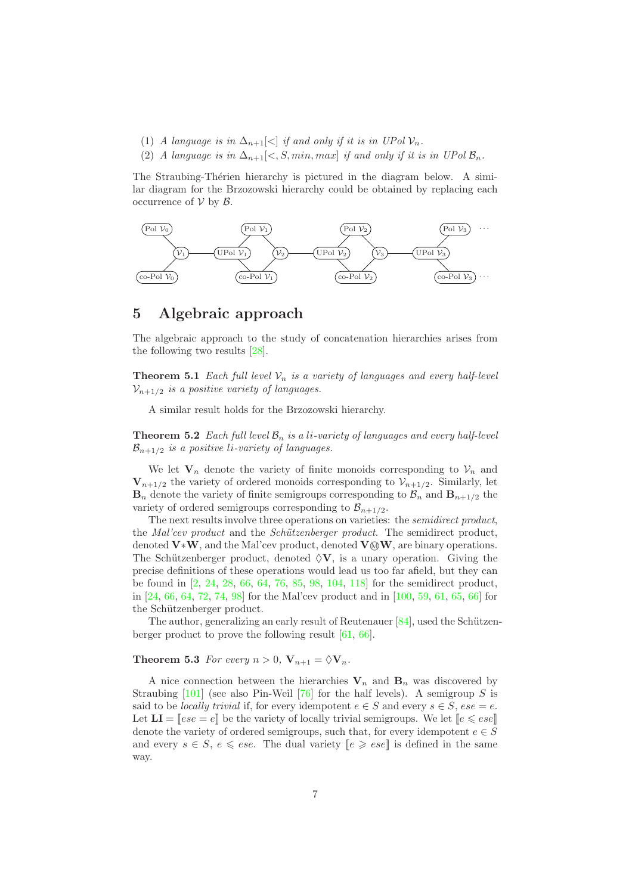- (1) *A language is in*  $\Delta_{n+1}[\langle \cdot | \text{ if and only if it is in } UPol \mathcal{V}_n$ .
- (2) *A language is in*  $\Delta_{n+1} \leq S$ ,  $min, max$  *if and only if it is in UPol*  $\mathcal{B}_n$ .

The Straubing-Thérien hierarchy is pictured in the diagram below. A similar diagram for the Brzozowski hierarchy could be obtained by replacing each occurrence of  $V$  by  $B$ .



### 5 Algebraic approach

The algebraic approach to the study of concatenation hierarchies arises from the following two results [28].

**Theorem 5.1** *Each full level*  $V_n$  *is a variety of languages and every half-level*  $V_{n+1/2}$  *is a positive variety of languages.* 

A similar result holds for the Brzozowski hierarchy.

**Theorem 5.2** *Each full level*  $\mathcal{B}_n$  *is a li-variety of languages and every half-level*  $\mathcal{B}_{n+1/2}$  *is a positive li-variety of languages.* 

We let  $V_n$  denote the variety of finite monoids corresponding to  $V_n$  and  $V_{n+1/2}$  the variety of ordered monoids corresponding to  $V_{n+1/2}$ . Similarly, let  $\mathbf{B}_n$  denote the variety of finite semigroups corresponding to  $\mathcal{B}_n$  and  $\mathbf{B}_{n+1/2}$  the variety of ordered semigroups corresponding to  $\mathcal{B}_{n+1/2}$ .

The next results involve three operations on varieties: the *semidirect product*, the *Mal'cev product* and the *Sch¨utzenberger product*. The semidirect product, denoted  $V*W$ , and the Mal'cev product, denoted  $V@W$ , are binary operations. The Schützenberger product, denoted  $\Diamond V$ , is a unary operation. Giving the precise definitions of these operations would lead us too far afield, but they can be found in [2, 24, 28, 66, 64, 76, 85, 98, 104, 118] for the semidirect product, in [24, 66, 64, 72, 74, 98] for the Mal'cev product and in [100, 59, 61, 65, 66] for the Schützenberger product.

The author, generalizing an early result of Reutenauer  $[84]$ , used the Schützenberger product to prove the following result [61, 66].

**Theorem 5.3** *For every*  $n > 0$ ,  $V_{n+1} = \Diamond V_n$ .

A nice connection between the hierarchies  $V_n$  and  $B_n$  was discovered by Straubing  $[101]$  (see also Pin-Weil [76] for the half levels). A semigroup S is said to be *locally trivial* if, for every idempotent  $e \in S$  and every  $s \in S$ ,  $ese = e$ . Let  $LI = [ese = e]$  be the variety of locally trivial semigroups. We let  $[e \leqslant ese]$ denote the variety of ordered semigroups, such that, for every idempotent  $e \in S$ and every  $s \in S$ ,  $e \leq ese$ . The dual variety  $\llbracket e \geqslant ese \rrbracket$  is defined in the same way.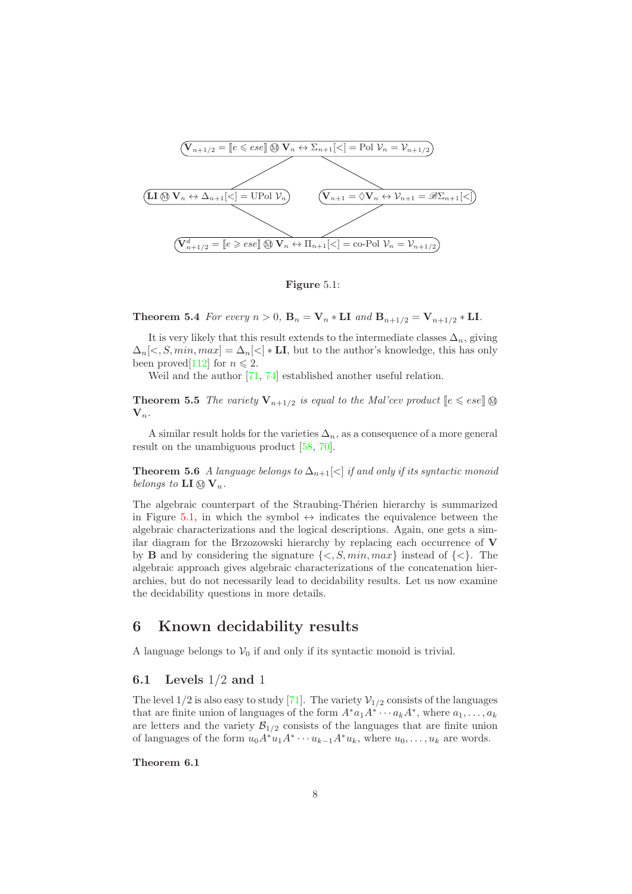

Figure 5.1:

**Theorem 5.4** *For every*  $n > 0$ ,  $B_n = V_n * LI$  *and*  $B_{n+1/2} = V_{n+1/2} * LI$ .

It is very likely that this result extends to the intermediate classes  $\Delta_n$ , giving  $\Delta_n[\langle S, min, max] = \Delta_n[\langle S \rangle]$  **LI**, but to the author's knowledge, this has only been proved [112] for  $n \leq 2$ .

Weil and the author [71, 74] established another useful relation.

**Theorem 5.5** *The variety*  $V_{n+1/2}$  *is equal to the Mal'cev product*  $\llbracket e \leqslant ese \rrbracket$  $V_n$ .

A similar result holds for the varieties  $\Delta_n$ , as a consequence of a more general result on the unambiguous product [58, 70].

Theorem 5.6 *A language belongs to*  $\Delta_{n+1}[\langle \cdot \rangle]$  *if and only if its syntactic monoid belongs to*  $LI \otimes V_n$ .

The algebraic counterpart of the Straubing-Thérien hierarchy is summarized in Figure 5.1, in which the symbol  $\leftrightarrow$  indicates the equivalence between the algebraic characterizations and the logical descriptions. Again, one gets a similar diagram for the Brzozowski hierarchy by replacing each occurrence of  $V$ by **B** and by considering the signature  $\{<, S, min, max\}$  instead of  $\{<\}$ . The algebraic approach gives algebraic characterizations of the concatenation hierarchies, but do not necessarily lead to decidability results. Let us now examine the decidability questions in more details.

### 6 Known decidability results

A language belongs to  $V_0$  if and only if its syntactic monoid is trivial.

### 6.1 Levels 1/2 and 1

The level  $1/2$  is also easy to study [71]. The variety  $\mathcal{V}_{1/2}$  consists of the languages that are finite union of languages of the form  $A^* a_1 A^* \cdots a_k A^*$ , where  $a_1, \ldots, a_k$ are letters and the variety  $\mathcal{B}_{1/2}$  consists of the languages that are finite union of languages of the form  $u_0 A^* u_1 A^* \cdots u_{k-1} A^* u_k$ , where  $u_0, \ldots, u_k$  are words.

### Theorem 6.1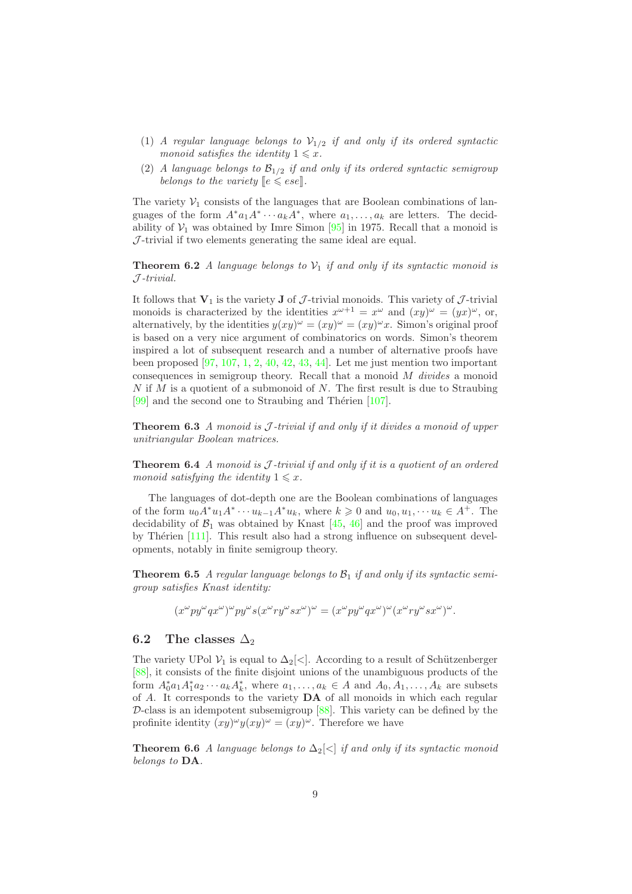- (1) *A regular language belongs to*  $V_{1/2}$  *if and only if its ordered syntactic monoid satisfies the identity*  $1 \leq x$ *.*
- (2) *A language belongs to*  $\mathcal{B}_{1/2}$  *if and only if its ordered syntactic semigroup belongs to the variety*  $\llbracket e \leqslant ese \rrbracket$ .

The variety  $V_1$  consists of the languages that are Boolean combinations of languages of the form  $A^*a_1A^* \cdots a_kA^*$ , where  $a_1, \ldots, a_k$  are letters. The decidability of  $V_1$  was obtained by Imre Simon [95] in 1975. Recall that a monoid is  $J$ -trivial if two elements generating the same ideal are equal.

**Theorem 6.2** *A language belongs to*  $V_1$  *if and only if its syntactic monoid is* J *-trivial.*

It follows that  $V_1$  is the variety **J** of  $J$ -trivial monoids. This variety of  $J$ -trivial monoids is characterized by the identities  $x^{\omega+1} = x^{\omega}$  and  $(xy)^{\omega} = (yx)^{\omega}$ , or, alternatively, by the identities  $y(xy)^{\omega} = (xy)^{\omega} = (xy)^{\omega}x$ . Simon's original proof is based on a very nice argument of combinatorics on words. Simon's theorem inspired a lot of subsequent research and a number of alternative proofs have been proposed [97, 107, 1, 2, 40, 42, 43, 44]. Let me just mention two important consequences in semigroup theory. Recall that a monoid M *divides* a monoid  $N$  if  $M$  is a quotient of a submonoid of  $N$ . The first result is due to Straubing  $[99]$  and the second one to Straubing and Thérien  $[107]$ .

Theorem 6.3 *A monoid is* J *-trivial if and only if it divides a monoid of upper unitriangular Boolean matrices.*

Theorem 6.4 *A monoid is* J *-trivial if and only if it is a quotient of an ordered monoid satisfying the identity*  $1 \leq x$ *.* 

The languages of dot-depth one are the Boolean combinations of languages of the form  $u_0 A^* u_1 A^* \cdots u_{k-1} A^* u_k$ , where  $k \geq 0$  and  $u_0, u_1, \dots u_k \in A^+$ . The decidability of  $\mathcal{B}_1$  was obtained by Knast [45, 46] and the proof was improved by Thérien  $[111]$ . This result also had a strong influence on subsequent developments, notably in finite semigroup theory.

**Theorem 6.5** *A regular language belongs to*  $\mathcal{B}_1$  *if and only if its syntactic semigroup satisfies Knast identity:*

$$
(x^{\omega}py^{\omega}qx^{\omega})^{\omega}py^{\omega}s(x^{\omega}ry^{\omega}sx^{\omega})^{\omega} = (x^{\omega}py^{\omega}qx^{\omega})^{\omega}(x^{\omega}ry^{\omega}sx^{\omega})^{\omega}.
$$

### 6.2 The classes  $\Delta_2$

The variety UPol  $\mathcal{V}_1$  is equal to  $\Delta_2[\langle \cdot]$ . According to a result of Schützenberger [88], it consists of the finite disjoint unions of the unambiguous products of the form  $A_0^* a_1 A_1^* a_2 \cdots a_k A_k^*$ , where  $a_1, \ldots, a_k \in A$  and  $A_0, A_1, \ldots, A_k$  are subsets of A. It corresponds to the variety DA of all monoids in which each regular  $\mathcal{D}$ -class is an idempotent subsemigroup [88]. This variety can be defined by the profinite identity  $(xy)^{\omega}y(xy)^{\omega} = (xy)^{\omega}$ . Therefore we have

Theorem 6.6 *A language belongs to*  $\Delta_2 \leq |f|$  *if and only if its syntactic monoid belongs to* DA*.*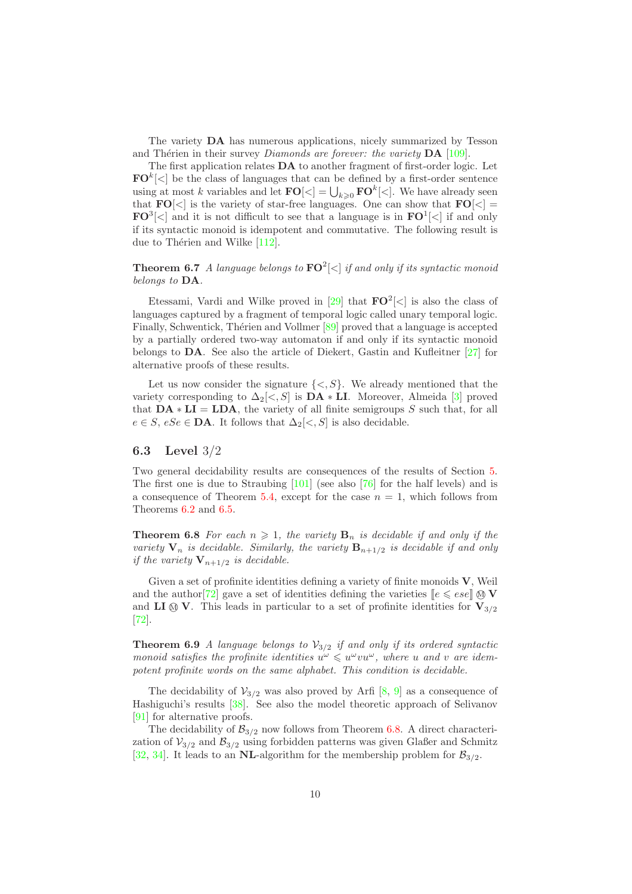The variety DA has numerous applications, nicely summarized by Tesson and Thérien in their survey *Diamonds are forever: the variety* **DA** [109].

The first application relates DA to another fragment of first-order logic. Let  $\mathbf{FO}^k[<]$  be the class of languages that can be defined by a first-order sentence using at most k variables and let  $\mathbf{FO}[\lt] = \bigcup_{k \geqslant 0} \mathbf{FO}^k[\lt]$ . We have already seen that  $\mathbf{FO}[\langle \cdot]$  is the variety of star-free languages. One can show that  $\mathbf{FO}[\langle \cdot] =$  $\mathbf{FO}^3[<]$  and it is not difficult to see that a language is in  $\mathbf{FO}^1[<]$  if and only if its syntactic monoid is idempotent and commutative. The following result is due to Thérien and Wilke  $[112]$ .

Theorem 6.7 *A language belongs to* FO<sup>2</sup> [<] *if and only if its syntactic monoid belongs to* DA*.*

Etessami, Vardi and Wilke proved in [29] that  $\mathbf{FO}^2[<]$  is also the class of languages captured by a fragment of temporal logic called unary temporal logic. Finally, Schwentick, Thérien and Vollmer [89] proved that a language is accepted by a partially ordered two-way automaton if and only if its syntactic monoid belongs to  $\mathbf{DA}$ . See also the article of Diekert, Gastin and Kufleitner [27] for alternative proofs of these results.

Let us now consider the signature  $\{<, S\}$ . We already mentioned that the variety corresponding to  $\Delta_2 \leq S$  is  $\mathbf{DA} * \mathbf{LI}$ . Moreover, Almeida [3] proved that  $DA * LI = LDA$ , the variety of all finite semigroups S such that, for all  $e \in S$ ,  $eSe \in \mathbf{DA}$ . It follows that  $\Delta_2[\lt, S]$  is also decidable.

#### 6.3 Level 3/2

Two general decidability results are consequences of the results of Section 5. The first one is due to Straubing [101] (see also [76] for the half levels) and is a consequence of Theorem 5.4, except for the case  $n = 1$ , which follows from Theorems 6.2 and 6.5.

**Theorem 6.8** For each  $n \geq 1$ , the variety  $\mathbf{B}_n$  is decidable if and only if the *variety*  $V_n$  *is decidable. Similarly, the variety*  $B_{n+1/2}$  *is decidable if and only if the variety*  $V_{n+1/2}$  *is decidable.* 

Given a set of profinite identities defining a variety of finite monoids V, Weil and the author [72] gave a set of identities defining the varieties  $\llbracket e \leqslant ese \rrbracket \otimes \mathbf{V}$ and **LI**  $\otimes$  **V**. This leads in particular to a set of profinite identities for  $V_{3/2}$ [72].

**Theorem 6.9** *A language belongs to*  $V_{3/2}$  *if and only if its ordered syntactic monoid satisfies the profinite identities*  $u^{\omega} \leq u^{\omega} v u^{\omega}$ , where u and v are idem*potent profinite words on the same alphabet. This condition is decidable.*

The decidability of  $V_{3/2}$  was also proved by Arfi [8, 9] as a consequence of Hashiguchi's results [38]. See also the model theoretic approach of Selivanov [91] for alternative proofs.

The decidability of  $\mathcal{B}_{3/2}$  now follows from Theorem 6.8. A direct characterization of  $V_{3/2}$  and  $\mathcal{B}_{3/2}$  using forbidden patterns was given Glaßer and Schmitz [32, 34]. It leads to an NL-algorithm for the membership problem for  $\mathcal{B}_{3/2}$ .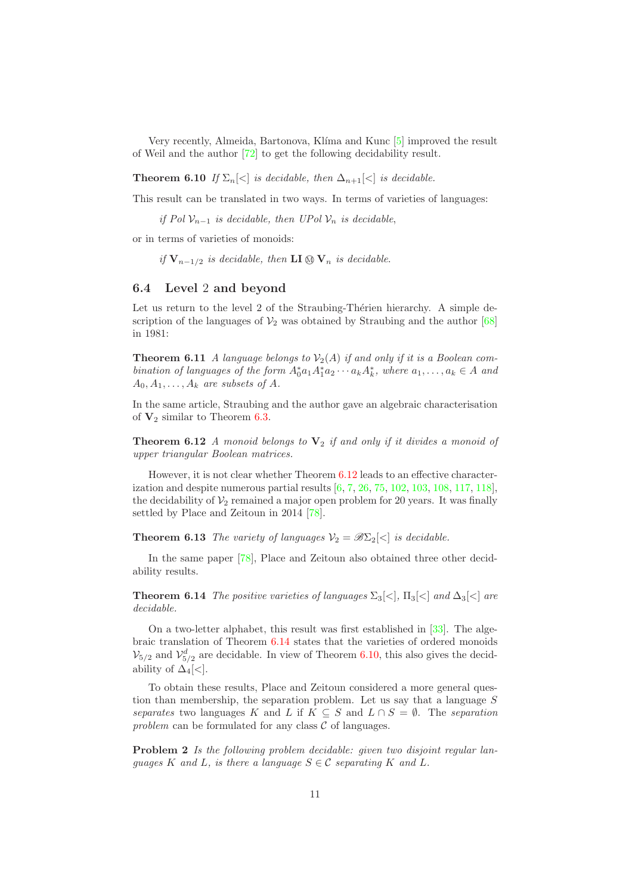Very recently, Almeida, Bartonova, Klíma and Kunc [5] improved the result of Weil and the author [72] to get the following decidability result.

**Theorem 6.10** *If*  $\Sigma_n \leq |s|$  *is decidable, then*  $\Delta_{n+1} \leq |s|$  *is decidable.* 

This result can be translated in two ways. In terms of varieties of languages:

*if Pol*  $\mathcal{V}_{n-1}$  *is decidable, then UPol*  $\mathcal{V}_n$  *is decidable,* 

or in terms of varieties of monoids:

*if*  $V_{n-1/2}$  *is decidable, then* **LI (0)**  $V_n$  *is decidable.* 

#### 6.4 Level 2 and beyond

Let us return to the level 2 of the Straubing-Thérien hierarchy. A simple description of the languages of  $\mathcal{V}_2$  was obtained by Straubing and the author [68] in 1981:

**Theorem 6.11** *A language belongs to*  $V_2(A)$  *if and only if it is a Boolean combination of languages of the form*  $A_0^* a_1 A_1^* a_2 \cdots a_k A_k^*$ , where  $a_1, \ldots, a_k \in A$  and  $A_0, A_1, \ldots, A_k$  *are subsets of A.* 

In the same article, Straubing and the author gave an algebraic characterisation of  $V_2$  similar to Theorem 6.3.

**Theorem 6.12** *A monoid belongs to*  $V_2$  *if and only if it divides a monoid of upper triangular Boolean matrices.*

However, it is not clear whether Theorem 6.12 leads to an effective characterization and despite numerous partial results [6, 7, 26, 75, 102, 103, 108, 117, 118], the decidability of  $\mathcal{V}_2$  remained a major open problem for 20 years. It was finally settled by Place and Zeitoun in 2014 [78].

**Theorem 6.13** *The variety of languages*  $V_2 = \mathscr{B}\Sigma_2$  *is decidable.* 

In the same paper [78], Place and Zeitoun also obtained three other decidability results.

**Theorem 6.14** *The positive varieties of languages*  $\Sigma_3\llbracket\langle\cdot\rVert$ ,  $\Pi_3\llbracket\langle\cdot\rVert$  *and*  $\Delta_3\llbracket\langle\cdot\rVert$  *are decidable.*

On a two-letter alphabet, this result was first established in [33]. The algebraic translation of Theorem 6.14 states that the varieties of ordered monoids  $\mathcal{V}_{5/2}$  and  $\mathcal{V}_{5/2}^d$  are decidable. In view of Theorem 6.10, this also gives the decidability of  $\Delta_4$ [<].

To obtain these results, Place and Zeitoun considered a more general question than membership, the separation problem. Let us say that a language  $S$ *separates* two languages K and L if  $K \subseteq S$  and  $L \cap S = \emptyset$ . The *separation* problem can be formulated for any class  $C$  of languages.

Problem 2 *Is the following problem decidable: given two disjoint regular languages* K and L, is there a language  $S \in \mathcal{C}$  *separating* K and L.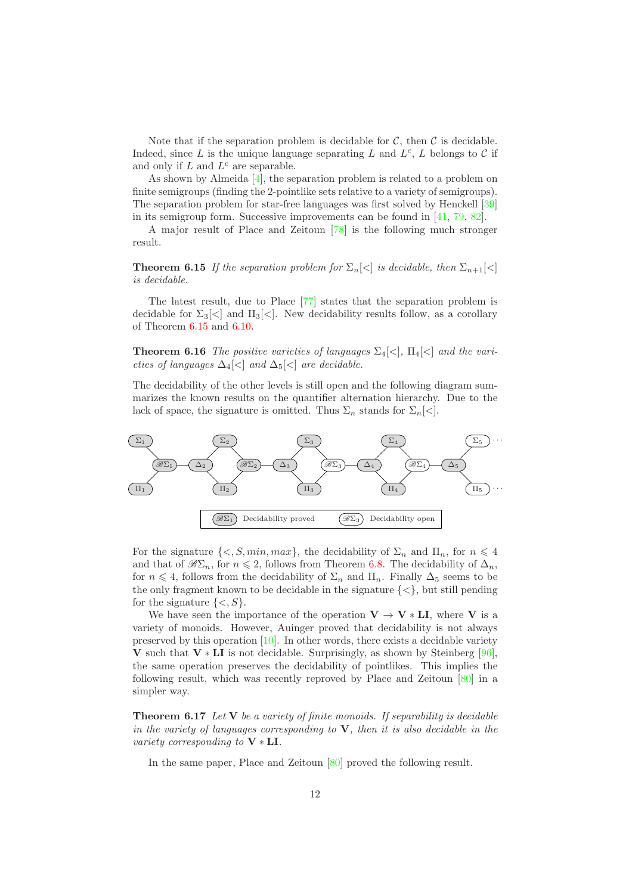Note that if the separation problem is decidable for  $\mathcal{C}$ , then  $\mathcal{C}$  is decidable. Indeed, since L is the unique language separating L and  $L^c$ , L belongs to C if and only if  $L$  and  $L^c$  are separable.

As shown by Almeida [4], the separation problem is related to a problem on finite semigroups (finding the 2-pointlike sets relative to a variety of semigroups). The separation problem for star-free languages was first solved by Henckell [39] in its semigroup form. Successive improvements can be found in [41, 79, 82].

A major result of Place and Zeitoun [78] is the following much stronger result.

**Theorem 6.15** *If the separation problem for*  $\Sigma_n \leq |s|$  *is decidable, then*  $\Sigma_{n+1} \leq |s|$ *is decidable.*

The latest result, due to Place [77] states that the separation problem is decidable for  $\Sigma_3[\langle \cdot]$  and  $\Pi_3[\langle \cdot]$ . New decidability results follow, as a corollary of Theorem 6.15 and 6.10.

**Theorem 6.16** *The positive varieties of languages*  $\Sigma_4[\langle \cdot]$ *,*  $\Pi_4[\langle \cdot]$  *and the varieties of languages*  $\Delta_4[\langle \cdot]$  *and*  $\Delta_5[\langle \cdot]$  *are decidable.* 

The decidability of the other levels is still open and the following diagram summarizes the known results on the quantifier alternation hierarchy. Due to the lack of space, the signature is omitted. Thus  $\Sigma_n$  stands for  $\Sigma_n[\langle \cdot]$ .



For the signature  $\{<, S, min, max\}$ , the decidability of  $\Sigma_n$  and  $\Pi_n$ , for  $n \leq 4$ and that of  $\mathscr{B}\Sigma_n$ , for  $n \leq 2$ , follows from Theorem 6.8. The decidability of  $\Delta_n$ , for  $n \leq 4$ , follows from the decidability of  $\Sigma_n$  and  $\Pi_n$ . Finally  $\Delta_5$  seems to be the only fragment known to be decidable in the signature  $\{\langle\}\$ , but still pending for the signature  $\{<, S\}.$ 

We have seen the importance of the operation  $V \to V * LI$ , where V is a variety of monoids. However, Auinger proved that decidability is not always preserved by this operation [10]. In other words, there exists a decidable variety V such that  $V * LI$  is not decidable. Surprisingly, as shown by Steinberg [96], the same operation preserves the decidability of pointlikes. This implies the following result, which was recently reproved by Place and Zeitoun [80] in a simpler way.

Theorem 6.17 *Let* V *be a variety of finite monoids. If separability is decidable in the variety of languages corresponding to* V*, then it is also decidable in the variety corresponding to* V ∗ LI*.*

In the same paper, Place and Zeitoun [80] proved the following result.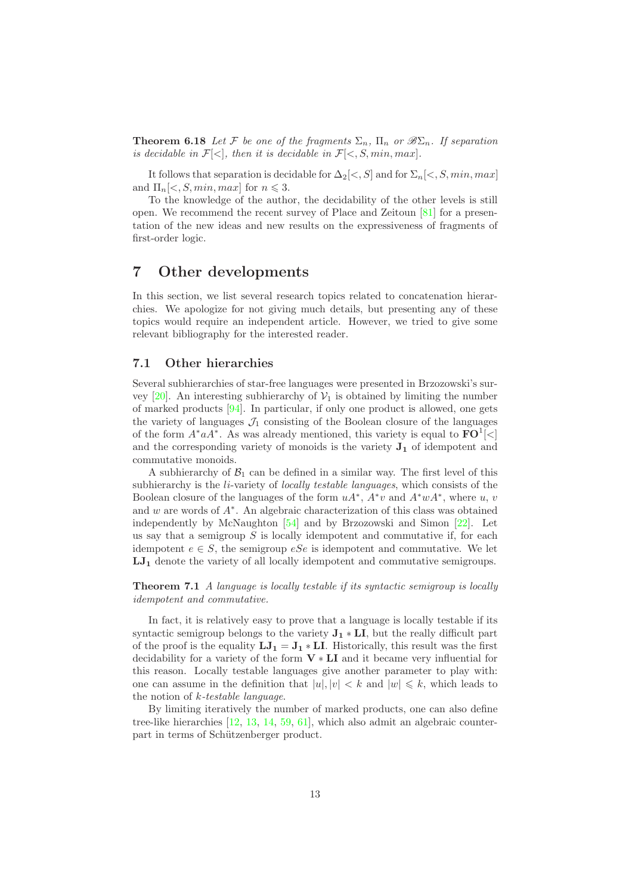**Theorem 6.18** Let F be one of the fragments  $\Sigma_n$ ,  $\Pi_n$  or  $\mathscr{B}\Sigma_n$ . If separation *is decidable in*  $\mathcal{F}[\langle \cdot]$ *, then it is decidable in*  $\mathcal{F}[\langle \cdot, S, min, max]$ *.* 

It follows that separation is decidable for  $\Delta_2[\langle s, S]$  and for  $\Sigma_n[\langle s, \mathit{S}, \mathit{min}, \mathit{max}]$ and  $\Pi_n\leq S, min, max$  for  $n \leq 3$ .

To the knowledge of the author, the decidability of the other levels is still open. We recommend the recent survey of Place and Zeitoun [81] for a presentation of the new ideas and new results on the expressiveness of fragments of first-order logic.

### 7 Other developments

In this section, we list several research topics related to concatenation hierarchies. We apologize for not giving much details, but presenting any of these topics would require an independent article. However, we tried to give some relevant bibliography for the interested reader.

#### 7.1 Other hierarchies

Several subhierarchies of star-free languages were presented in Brzozowski's survey [20]. An interesting subhierarchy of  $V_1$  is obtained by limiting the number of marked products [94]. In particular, if only one product is allowed, one gets the variety of languages  $J_1$  consisting of the Boolean closure of the languages of the form  $A^* a A^*$ . As was already mentioned, this variety is equal to  $\mathbf{FO}^1[\lt]$ and the corresponding variety of monoids is the variety  $J_1$  of idempotent and commutative monoids.

A subhierarchy of  $\mathcal{B}_1$  can be defined in a similar way. The first level of this subhierarchy is the li-variety of *locally testable languages*, which consists of the Boolean closure of the languages of the form  $uA^*$ ,  $A^*v$  and  $A^*wA^*$ , where u, v and w are words of A<sup>∗</sup> . An algebraic characterization of this class was obtained independently by McNaughton [54] and by Brzozowski and Simon [22]. Let us say that a semigroup  $S$  is locally idempotent and commutative if, for each idempotent  $e \in S$ , the semigroup  $eSe$  is idempotent and commutative. We let  $LJ_1$  denote the variety of all locally idempotent and commutative semigroups.

Theorem 7.1 *A language is locally testable if its syntactic semigroup is locally idempotent and commutative.*

In fact, it is relatively easy to prove that a language is locally testable if its syntactic semigroup belongs to the variety  $J_1 * LI$ , but the really difficult part of the proof is the equality  $LJ_1 = J_1 * LI$ . Historically, this result was the first decidability for a variety of the form  $V * LI$  and it became very influential for this reason. Locally testable languages give another parameter to play with: one can assume in the definition that  $|u|, |v| < k$  and  $|w| \leq k$ , which leads to the notion of k*-testable language*.

By limiting iteratively the number of marked products, one can also define tree-like hierarchies [12, 13, 14, 59, 61], which also admit an algebraic counterpart in terms of Schützenberger product.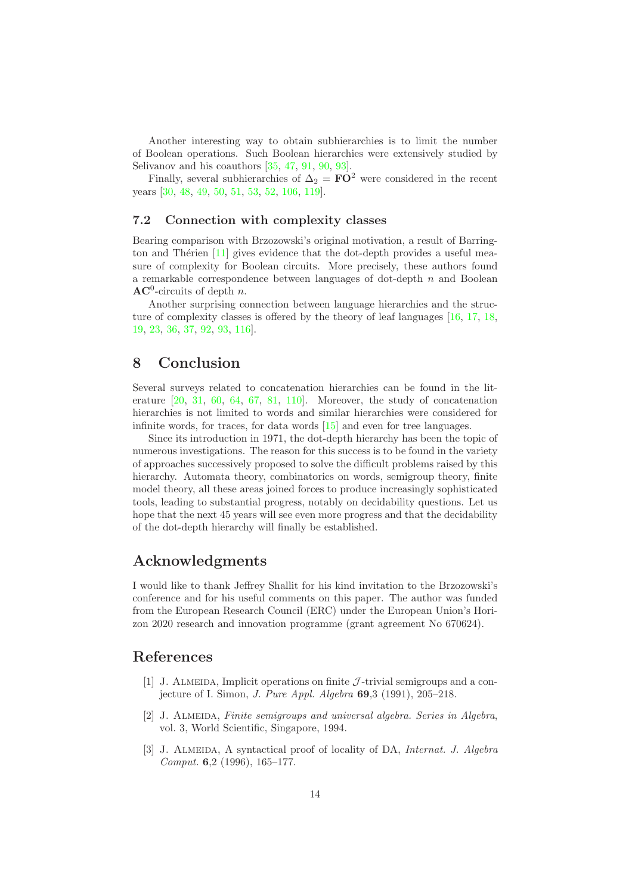Another interesting way to obtain subhierarchies is to limit the number of Boolean operations. Such Boolean hierarchies were extensively studied by Selivanov and his coauthors [35, 47, 91, 90, 93].

Finally, several subhierarchies of  $\Delta_2 = \mathbf{FO}^2$  were considered in the recent years [30, 48, 49, 50, 51, 53, 52, 106, 119].

#### 7.2 Connection with complexity classes

Bearing comparison with Brzozowski's original motivation, a result of Barrington and Thérien  $[11]$  gives evidence that the dot-depth provides a useful measure of complexity for Boolean circuits. More precisely, these authors found a remarkable correspondence between languages of dot-depth  $n$  and Boolean  $AC^0$ -circuits of depth *n*.

Another surprising connection between language hierarchies and the structure of complexity classes is offered by the theory of leaf languages [16, 17, 18, 19, 23, 36, 37, 92, 93, 116].

### 8 Conclusion

Several surveys related to concatenation hierarchies can be found in the literature  $[20, 31, 60, 64, 67, 81, 110]$ . Moreover, the study of concatenation hierarchies is not limited to words and similar hierarchies were considered for infinite words, for traces, for data words [15] and even for tree languages.

Since its introduction in 1971, the dot-depth hierarchy has been the topic of numerous investigations. The reason for this success is to be found in the variety of approaches successively proposed to solve the difficult problems raised by this hierarchy. Automata theory, combinatorics on words, semigroup theory, finite model theory, all these areas joined forces to produce increasingly sophisticated tools, leading to substantial progress, notably on decidability questions. Let us hope that the next 45 years will see even more progress and that the decidability of the dot-depth hierarchy will finally be established.

### Acknowledgments

I would like to thank Jeffrey Shallit for his kind invitation to the Brzozowski's conference and for his useful comments on this paper. The author was funded from the European Research Council (ERC) under the European Union's Horizon 2020 research and innovation programme (grant agreement No 670624).

### References

- [1] J. ALMEIDA, Implicit operations on finite  $\mathcal{J}\text{-trivial semigroups}$  and a conjecture of I. Simon, *J. Pure Appl. Algebra* 69,3 (1991), 205–218.
- [2] J. Almeida, *Finite semigroups and universal algebra. Series in Algebra*, vol. 3, World Scientific, Singapore, 1994.
- [3] J. Almeida, A syntactical proof of locality of DA, *Internat. J. Algebra Comput.* 6,2 (1996), 165–177.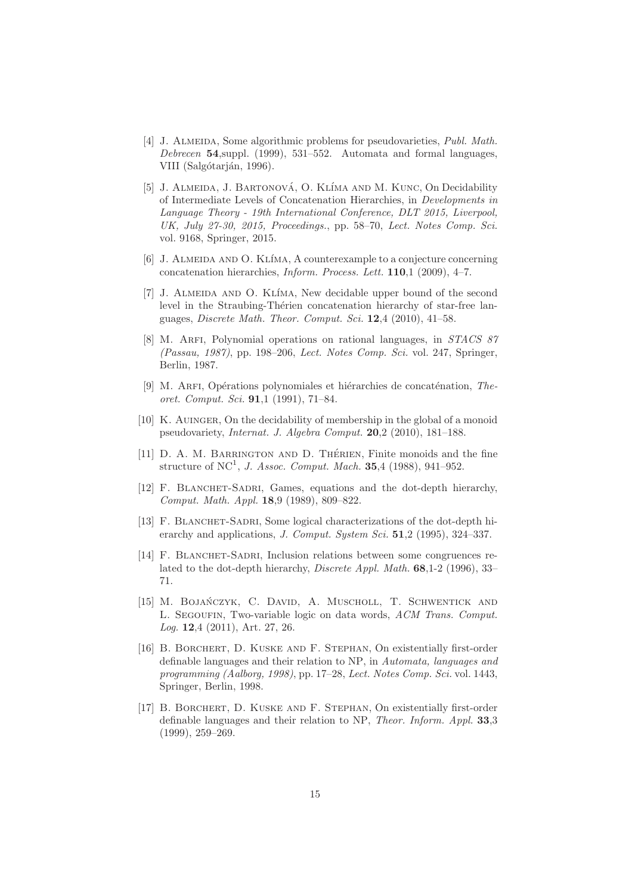- [4] J. Almeida, Some algorithmic problems for pseudovarieties, *Publ. Math. Debrecen* 54,suppl. (1999), 531–552. Automata and formal languages, VIII (Salgótarján, 1996).
- [5] J. ALMEIDA, J. BARTONOVÁ, O. KLÍMA AND M. KUNC, On Decidability of Intermediate Levels of Concatenation Hierarchies, in *Developments in Language Theory - 19th International Conference, DLT 2015, Liverpool, UK, July 27-30, 2015, Proceedings.*, pp. 58–70, *Lect. Notes Comp. Sci.* vol. 9168, Springer, 2015.
- [6] J. ALMEIDA AND O. KLÍMA, A counterexample to a conjecture concerning concatenation hierarchies, *Inform. Process. Lett.* 110,1 (2009), 4–7.
- [7] J. ALMEIDA AND O. KLÍMA, New decidable upper bound of the second level in the Straubing-Thérien concatenation hierarchy of star-free languages, *Discrete Math. Theor. Comput. Sci.* 12,4 (2010), 41–58.
- [8] M. Arfi, Polynomial operations on rational languages, in *STACS 87 (Passau, 1987)*, pp. 198–206, *Lect. Notes Comp. Sci.* vol. 247, Springer, Berlin, 1987.
- [9] M. ARFI, Opérations polynomiales et hiérarchies de concaténation, *Theoret. Comput. Sci.* 91,1 (1991), 71–84.
- [10] K. Auinger, On the decidability of membership in the global of a monoid pseudovariety, *Internat. J. Algebra Comput.* 20,2 (2010), 181–188.
- [11] D. A. M. BARRINGTON AND D. THÉRIEN, Finite monoids and the fine structure of NC<sup>1</sup>, *J. Assoc. Comput. Mach.* **35**,4 (1988), 941–952.
- [12] F. BLANCHET-SADRI, Games, equations and the dot-depth hierarchy, *Comput. Math. Appl.* 18,9 (1989), 809–822.
- [13] F. BLANCHET-SADRI, Some logical characterizations of the dot-depth hierarchy and applications, *J. Comput. System Sci.* 51,2 (1995), 324–337.
- [14] F. BLANCHET-SADRI, Inclusion relations between some congruences related to the dot-depth hierarchy, *Discrete Appl. Math.* 68,1-2 (1996), 33– 71.
- [15] M. BOJAŃCZYK, C. DAVID, A. MUSCHOLL, T. SCHWENTICK AND L. Segoufin, Two-variable logic on data words, *ACM Trans. Comput. Log.* 12,4 (2011), Art. 27, 26.
- [16] B. BORCHERT, D. KUSKE AND F. STEPHAN, On existentially first-order definable languages and their relation to NP, in *Automata, languages and programming (Aalborg, 1998)*, pp. 17–28, *Lect. Notes Comp. Sci.* vol. 1443, Springer, Berlin, 1998.
- [17] B. Borchert, D. Kuske and F. Stephan, On existentially first-order definable languages and their relation to NP, *Theor. Inform. Appl.* 33,3 (1999), 259–269.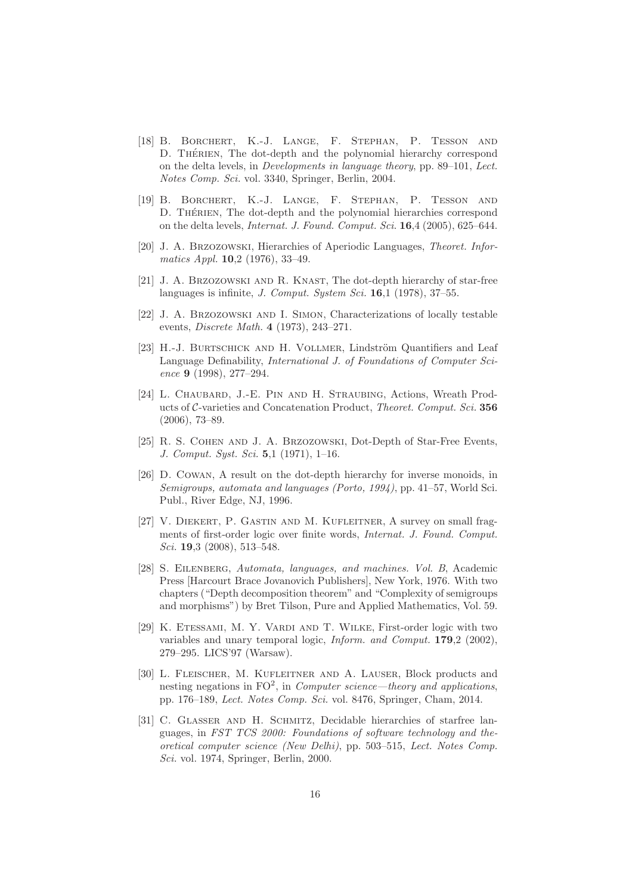- [18] B. Borchert, K.-J. Lange, F. Stephan, P. Tesson and D. THÉRIEN, The dot-depth and the polynomial hierarchy correspond on the delta levels, in *Developments in language theory*, pp. 89–101, *Lect. Notes Comp. Sci.* vol. 3340, Springer, Berlin, 2004.
- [19] B. Borchert, K.-J. Lange, F. Stephan, P. Tesson and D. THÉRIEN, The dot-depth and the polynomial hierarchies correspond on the delta levels, *Internat. J. Found. Comput. Sci.* 16,4 (2005), 625–644.
- [20] J. A. Brzozowski, Hierarchies of Aperiodic Languages, *Theoret. Informatics Appl.* 10,2 (1976), 33–49.
- [21] J. A. Brzozowski and R. Knast, The dot-depth hierarchy of star-free languages is infinite, *J. Comput. System Sci.* 16,1 (1978), 37–55.
- [22] J. A. Brzozowski and I. Simon, Characterizations of locally testable events, *Discrete Math.* 4 (1973), 243–271.
- [23] H.-J. BURTSCHICK AND H. VOLLMER, Lindström Quantifiers and Leaf Language Definability, *International J. of Foundations of Computer Science* 9 (1998), 277–294.
- [24] L. CHAUBARD, J.-E. PIN AND H. STRAUBING, Actions, Wreath Products of C-varieties and Concatenation Product, *Theoret. Comput. Sci.* 356 (2006), 73–89.
- [25] R. S. Cohen and J. A. Brzozowski, Dot-Depth of Star-Free Events, *J. Comput. Syst. Sci.* 5,1 (1971), 1–16.
- [26] D. COWAN, A result on the dot-depth hierarchy for inverse monoids, in *Semigroups, automata and languages (Porto, 1994)*, pp. 41–57, World Sci. Publ., River Edge, NJ, 1996.
- [27] V. Diekert, P. Gastin and M. Kufleitner, A survey on small fragments of first-order logic over finite words, *Internat. J. Found. Comput. Sci.* 19,3 (2008), 513–548.
- [28] S. Eilenberg, *Automata, languages, and machines. Vol. B*, Academic Press [Harcourt Brace Jovanovich Publishers], New York, 1976. With two chapters ("Depth decomposition theorem" and "Complexity of semigroups and morphisms") by Bret Tilson, Pure and Applied Mathematics, Vol. 59.
- [29] K. ETESSAMI, M. Y. VARDI AND T. WILKE, First-order logic with two variables and unary temporal logic, *Inform. and Comput.* 179,2 (2002), 279–295. LICS'97 (Warsaw).
- [30] L. Fleischer, M. Kufleitner and A. Lauser, Block products and nesting negations in FO<sup>2</sup>, in *Computer science—theory and applications*, pp. 176–189, *Lect. Notes Comp. Sci.* vol. 8476, Springer, Cham, 2014.
- [31] C. GLASSER AND H. SCHMITZ, Decidable hierarchies of starfree languages, in *FST TCS 2000: Foundations of software technology and theoretical computer science (New Delhi)*, pp. 503–515, *Lect. Notes Comp. Sci.* vol. 1974, Springer, Berlin, 2000.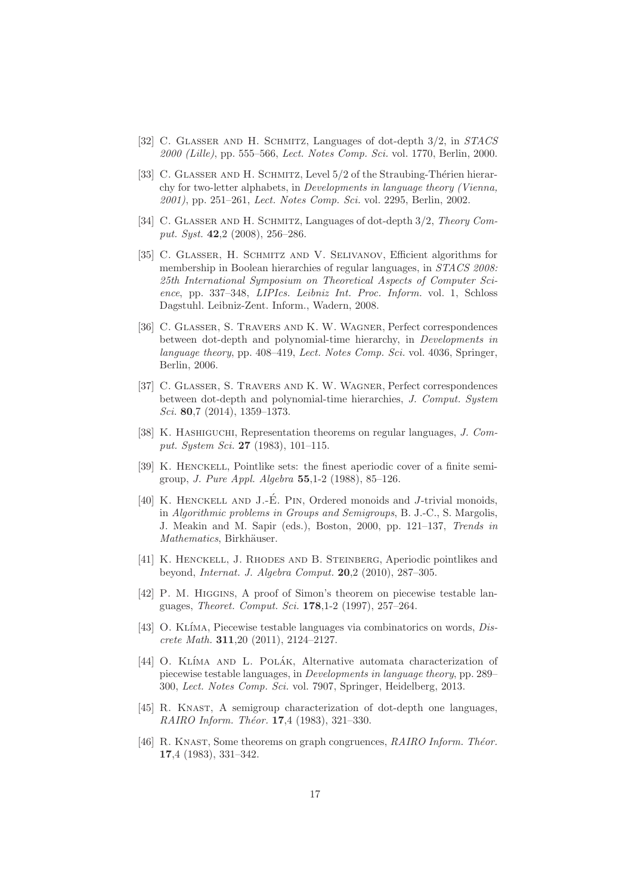- [32] C. Glaßer and H. Schmitz, Languages of dot-depth 3/2, in *STACS 2000 (Lille)*, pp. 555–566, *Lect. Notes Comp. Sci.* vol. 1770, Berlin, 2000.
- [33] C. GLASSER AND H. SCHMITZ, Level 5/2 of the Straubing-Thérien hierarchy for two-letter alphabets, in *Developments in language theory (Vienna, 2001)*, pp. 251–261, *Lect. Notes Comp. Sci.* vol. 2295, Berlin, 2002.
- [34] C. GLASSER AND H. SCHMITZ, Languages of dot-depth  $3/2$ , *Theory Comput. Syst.* 42,2 (2008), 256–286.
- [35] C. Glaßer, H. Schmitz and V. Selivanov, Efficient algorithms for membership in Boolean hierarchies of regular languages, in *STACS 2008: 25th International Symposium on Theoretical Aspects of Computer Science*, pp. 337–348, *LIPIcs. Leibniz Int. Proc. Inform.* vol. 1, Schloss Dagstuhl. Leibniz-Zent. Inform., Wadern, 2008.
- [36] C. Glaßer, S. Travers and K. W. Wagner, Perfect correspondences between dot-depth and polynomial-time hierarchy, in *Developments in language theory*, pp. 408–419, *Lect. Notes Comp. Sci.* vol. 4036, Springer, Berlin, 2006.
- [37] C. Glaßer, S. Travers and K. W. Wagner, Perfect correspondences between dot-depth and polynomial-time hierarchies, *J. Comput. System Sci.* 80,7 (2014), 1359–1373.
- [38] K. Hashiguchi, Representation theorems on regular languages, *J. Comput. System Sci.* 27 (1983), 101–115.
- [39] K. Henckell, Pointlike sets: the finest aperiodic cover of a finite semigroup, *J. Pure Appl. Algebra* 55,1-2 (1988), 85–126.
- [40] K. HENCKELL AND J.-E. PIN, Ordered monoids and J-trivial monoids, in *Algorithmic problems in Groups and Semigroups*, B. J.-C., S. Margolis, J. Meakin and M. Sapir (eds.), Boston, 2000, pp. 121–137, *Trends in Mathematics*, Birkhäuser.
- [41] K. Henckell, J. Rhodes and B. Steinberg, Aperiodic pointlikes and beyond, *Internat. J. Algebra Comput.* 20,2 (2010), 287–305.
- [42] P. M. HIGGINS, A proof of Simon's theorem on piecewise testable languages, *Theoret. Comput. Sci.* 178,1-2 (1997), 257–264.
- [43] O. Kl´ıma, Piecewise testable languages via combinatorics on words, *Discrete Math.* 311,20 (2011), 2124–2127.
- [44] O. KLÍMA AND L. POLÁK, Alternative automata characterization of piecewise testable languages, in *Developments in language theory*, pp. 289– 300, *Lect. Notes Comp. Sci.* vol. 7907, Springer, Heidelberg, 2013.
- [45] R. KNAST, A semigroup characterization of dot-depth one languages, *RAIRO Inform. Théor.* **17**,4 (1983), 321-330.
- [46] R. KNAST, Some theorems on graph congruences, *RAIRO Inform. Théor.* 17,4 (1983), 331–342.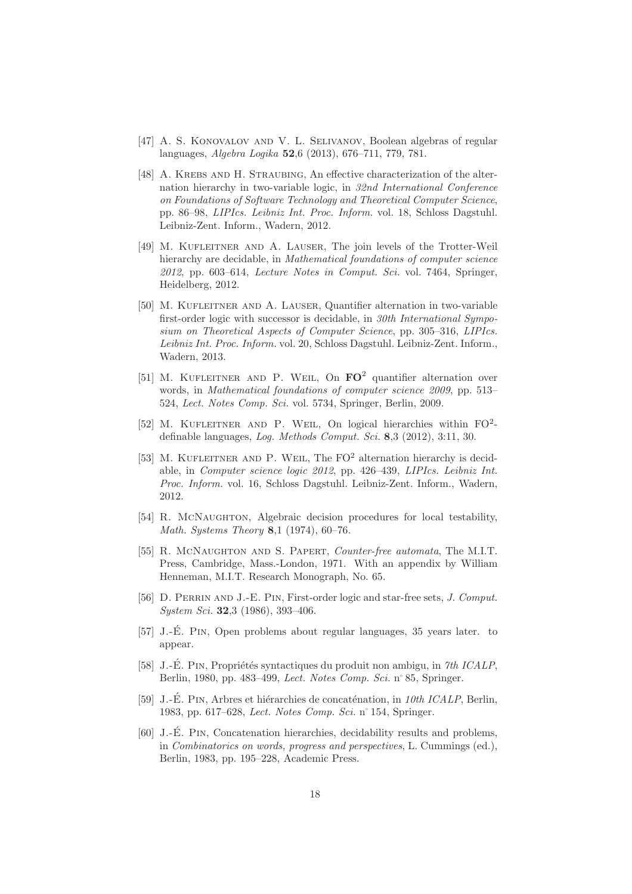- [47] A. S. KONOVALOV AND V. L. SELIVANOV, Boolean algebras of regular languages, *Algebra Logika* 52,6 (2013), 676–711, 779, 781.
- [48] A. Krebs and H. Straubing, An effective characterization of the alternation hierarchy in two-variable logic, in *32nd International Conference on Foundations of Software Technology and Theoretical Computer Science*, pp. 86–98, *LIPIcs. Leibniz Int. Proc. Inform.* vol. 18, Schloss Dagstuhl. Leibniz-Zent. Inform., Wadern, 2012.
- [49] M. Kufleitner and A. Lauser, The join levels of the Trotter-Weil hierarchy are decidable, in *Mathematical foundations of computer science 2012*, pp. 603–614, *Lecture Notes in Comput. Sci.* vol. 7464, Springer, Heidelberg, 2012.
- [50] M. KUFLEITNER AND A. LAUSER, Quantifier alternation in two-variable first-order logic with successor is decidable, in *30th International Symposium on Theoretical Aspects of Computer Science*, pp. 305–316, *LIPIcs. Leibniz Int. Proc. Inform.* vol. 20, Schloss Dagstuhl. Leibniz-Zent. Inform., Wadern, 2013.
- [51] M. KUFLEITNER AND P. WEIL, On  $\mathbf{FO}^2$  quantifier alternation over words, in *Mathematical foundations of computer science 2009*, pp. 513– 524, *Lect. Notes Comp. Sci.* vol. 5734, Springer, Berlin, 2009.
- [52] M. KUFLEITNER AND P. WEIL, On logical hierarchies within  $FO^2$ definable languages, *Log. Methods Comput. Sci.* 8,3 (2012), 3:11, 30.
- [53] M. KUFLEITNER AND P. WEIL, The  $FO^2$  alternation hierarchy is decidable, in *Computer science logic 2012*, pp. 426–439, *LIPIcs. Leibniz Int. Proc. Inform.* vol. 16, Schloss Dagstuhl. Leibniz-Zent. Inform., Wadern, 2012.
- [54] R. MCNAUGHTON, Algebraic decision procedures for local testability, *Math. Systems Theory* 8,1 (1974), 60–76.
- [55] R. McNaughton and S. Papert, *Counter-free automata*, The M.I.T. Press, Cambridge, Mass.-London, 1971. With an appendix by William Henneman, M.I.T. Research Monograph, No. 65.
- [56] D. Perrin and J.-E. Pin, First-order logic and star-free sets, *J. Comput. System Sci.* 32,3 (1986), 393–406.
- [57] J.-É. PIN, Open problems about regular languages, 35 years later. to appear.
- [58] J.-É. PIN, Propriétés syntactiques du produit non ambigu, in 7th ICALP, Berlin, 1980, pp. 483–499, *Lect. Notes Comp. Sci.* n˚85, Springer.
- [59] J.-E. Pin ´ , Arbres et hi´erarchies de concat´enation, in *10th ICALP*, Berlin, 1983, pp. 617–628, *Lect. Notes Comp. Sci.* n˚154, Springer.
- $[60]$  J.-É. PIN, Concatenation hierarchies, decidability results and problems, in *Combinatorics on words, progress and perspectives*, L. Cummings (ed.), Berlin, 1983, pp. 195–228, Academic Press.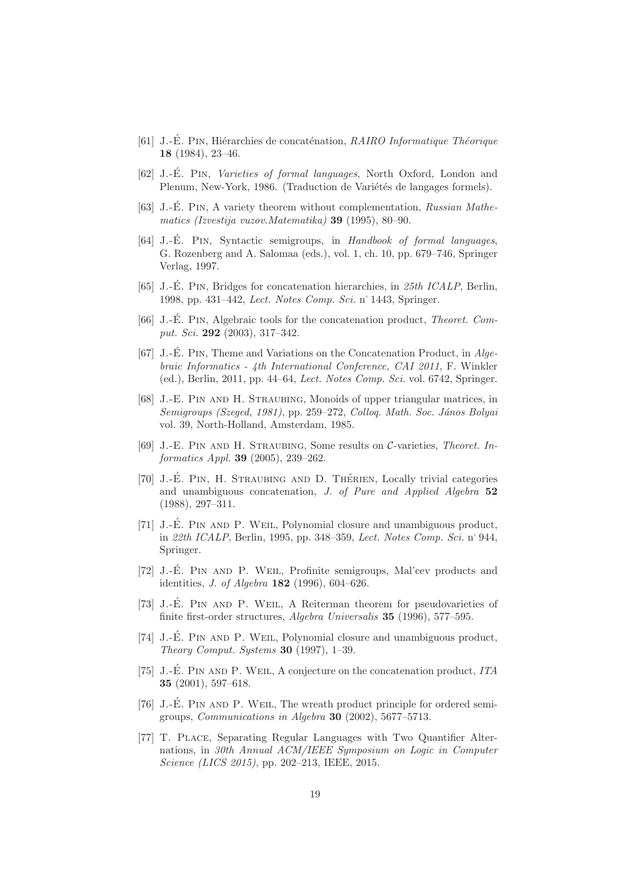- [61] J.-É. PIN, Hiérarchies de concaténation, *RAIRO Informatique Théorique* 18 (1984), 23–46.
- [62] J.-É. PIN, *Varieties of formal languages*, North Oxford, London and Plenum, New-York, 1986. (Traduction de Variétés de langages formels).
- [63] J.-É. PIN, A variety theorem without complementation, *Russian Mathematics (Izvestija vuzov.Matematika)* 39 (1995), 80–90.
- [64] J.-E. PIN, Syntactic semigroups, in *Handbook of formal languages*, G. Rozenberg and A. Salomaa (eds.), vol. 1, ch. 10, pp. 679–746, Springer Verlag, 1997.
- [65] J.-É. PIN, Bridges for concatenation hierarchies, in 25th ICALP, Berlin, 1998, pp. 431–442, *Lect. Notes Comp. Sci.* n˚1443, Springer.
- [66] J.-É. PIN, Algebraic tools for the concatenation product, *Theoret. Comput. Sci.* 292 (2003), 317–342.
- [67] J.-É. PIN, Theme and Variations on the Concatenation Product, in *Algebraic Informatics - 4th International Conference, CAI 2011*, F. Winkler (ed.), Berlin, 2011, pp. 44–64, *Lect. Notes Comp. Sci.* vol. 6742, Springer.
- [68] J.-E. Pin and H. Straubing, Monoids of upper triangular matrices, in *Semigroups (Szeged, 1981)*, pp. 259–272, *Colloq. Math. Soc. J´anos Bolyai* vol. 39, North-Holland, Amsterdam, 1985.
- [69] J.-E. Pin and H. Straubing, Some results on C-varieties, *Theoret. Informatics Appl.* 39 (2005), 239–262.
- [70] J.-E. PIN, H. STRAUBING AND D. THÉRIEN, Locally trivial categories and unambiguous concatenation, *J. of Pure and Applied Algebra* 52 (1988), 297–311.
- [71] J.-E. PIN AND P. WEIL, Polynomial closure and unambiguous product, in *22th ICALP*, Berlin, 1995, pp. 348–359, *Lect. Notes Comp. Sci.* n˚944, Springer.
- [72] J.-É. PIN AND P. WEIL, Profinite semigroups, Mal'cev products and identities, *J. of Algebra* 182 (1996), 604–626.
- [73] J.-É. PIN AND P. WEIL, A Reiterman theorem for pseudovarieties of finite first-order structures, *Algebra Universalis* 35 (1996), 577–595.
- [74] J.-É. PIN AND P. WEIL, Polynomial closure and unambiguous product, *Theory Comput. Systems* 30 (1997), 1–39.
- [75] J.-É. PIN AND P. WEIL, A conjecture on the concatenation product,  $ITA$ 35 (2001), 597–618.
- [76] J.-É. PIN AND P. WEIL, The wreath product principle for ordered semigroups, *Communications in Algebra* 30 (2002), 5677–5713.
- [77] T. Place, Separating Regular Languages with Two Quantifier Alternations, in *30th Annual ACM/IEEE Symposium on Logic in Computer Science (LICS 2015)*, pp. 202–213, IEEE, 2015.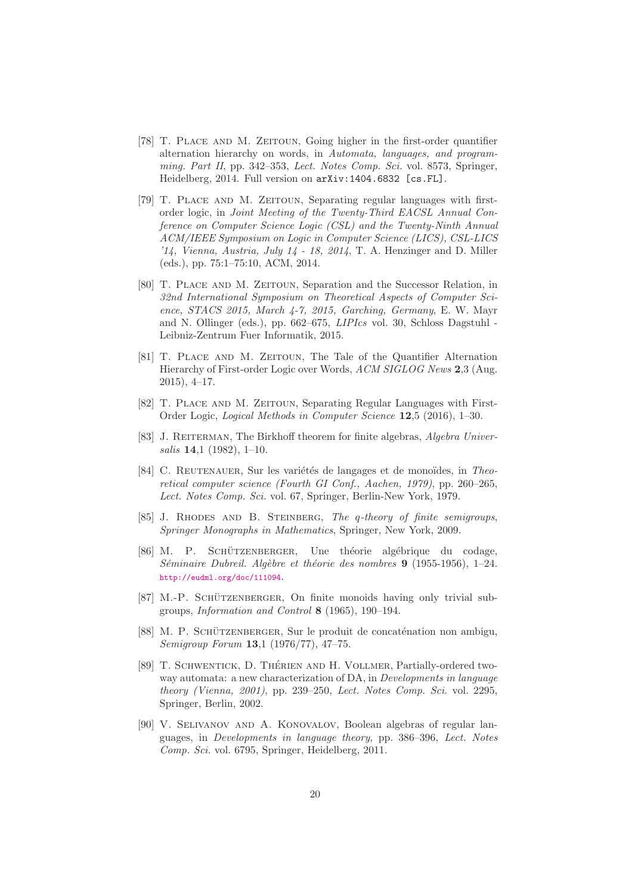- [78] T. PLACE AND M. ZEITOUN, Going higher in the first-order quantifier alternation hierarchy on words, in *Automata, languages, and programming. Part II*, pp. 342–353, *Lect. Notes Comp. Sci.* vol. 8573, Springer, Heidelberg, 2014. Full version on arXiv:1404.6832 [cs.FL].
- [79] T. Place and M. Zeitoun, Separating regular languages with firstorder logic, in *Joint Meeting of the Twenty-Third EACSL Annual Conference on Computer Science Logic (CSL) and the Twenty-Ninth Annual ACM/IEEE Symposium on Logic in Computer Science (LICS), CSL-LICS '14, Vienna, Austria, July 14 - 18, 2014*, T. A. Henzinger and D. Miller (eds.), pp. 75:1–75:10, ACM, 2014.
- [80] T. PLACE AND M. ZEITOUN, Separation and the Successor Relation, in *32nd International Symposium on Theoretical Aspects of Computer Science, STACS 2015, March 4-7, 2015, Garching, Germany*, E. W. Mayr and N. Ollinger (eds.), pp. 662–675, *LIPIcs* vol. 30, Schloss Dagstuhl - Leibniz-Zentrum Fuer Informatik, 2015.
- [81] T. Place and M. Zeitoun, The Tale of the Quantifier Alternation Hierarchy of First-order Logic over Words, *ACM SIGLOG News* 2,3 (Aug. 2015), 4–17.
- [82] T. PLACE AND M. ZEITOUN, Separating Regular Languages with First-Order Logic, *Logical Methods in Computer Science* 12,5 (2016), 1–30.
- [83] J. REITERMAN, The Birkhoff theorem for finite algebras, *Algebra Universalis* 14,1 (1982), 1–10.
- [84] C. REUTENAUER, Sur les variétés de langages et de monoïdes, in *Theoretical computer science (Fourth GI Conf., Aachen, 1979)*, pp. 260–265, *Lect. Notes Comp. Sci.* vol. 67, Springer, Berlin-New York, 1979.
- [85] J. Rhodes and B. Steinberg, *The* q*-theory of finite semigroups*, *Springer Monographs in Mathematics*, Springer, New York, 2009.
- [86] M. P. SCHÜTZENBERGER, Une théorie algébrique du codage, *S´eminaire Dubreil. Alg`ebre et th´eorie des nombres* 9 (1955-1956), 1–24. <http://eudml.org/doc/111094>.
- [87] M.-P. SCHÜTZENBERGER, On finite monoids having only trivial subgroups, *Information and Control* 8 (1965), 190–194.
- [88] M. P. SCHÜTZENBERGER, Sur le produit de concaténation non ambigu, *Semigroup Forum* 13,1 (1976/77), 47–75.
- [89] T. SCHWENTICK, D. THÉRIEN AND H. VOLLMER, Partially-ordered twoway automata: a new characterization of DA, in *Developments in language theory (Vienna, 2001)*, pp. 239–250, *Lect. Notes Comp. Sci.* vol. 2295, Springer, Berlin, 2002.
- [90] V. SELIVANOV AND A. KONOVALOV, Boolean algebras of regular languages, in *Developments in language theory*, pp. 386–396, *Lect. Notes Comp. Sci.* vol. 6795, Springer, Heidelberg, 2011.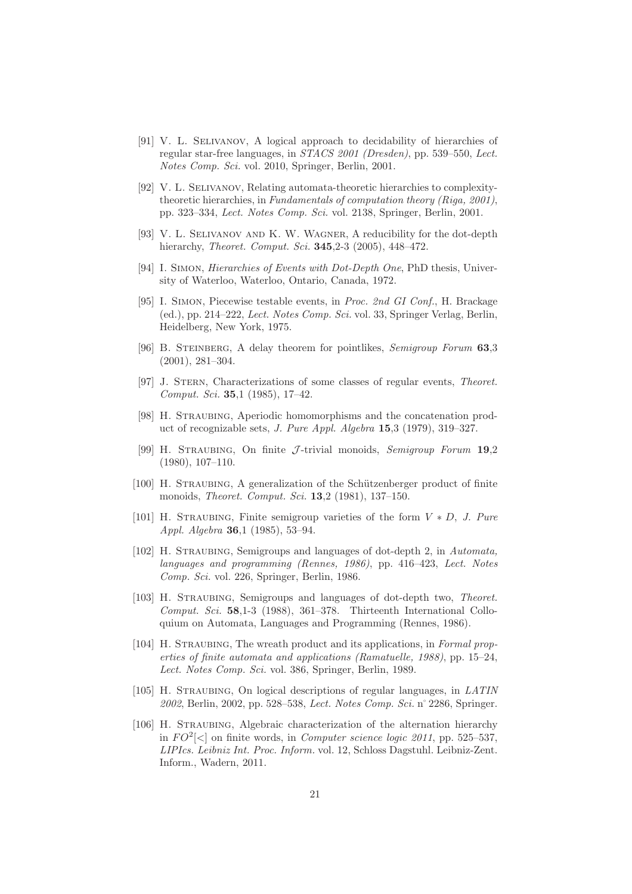- [91] V. L. SELIVANOV, A logical approach to decidability of hierarchies of regular star-free languages, in *STACS 2001 (Dresden)*, pp. 539–550, *Lect. Notes Comp. Sci.* vol. 2010, Springer, Berlin, 2001.
- [92] V. L. Selivanov, Relating automata-theoretic hierarchies to complexitytheoretic hierarchies, in *Fundamentals of computation theory (Riga, 2001)*, pp. 323–334, *Lect. Notes Comp. Sci.* vol. 2138, Springer, Berlin, 2001.
- [93] V. L. Selivanov and K. W. Wagner, A reducibility for the dot-depth hierarchy, *Theoret. Comput. Sci.* 345,2-3 (2005), 448–472.
- [94] I. Simon, *Hierarchies of Events with Dot-Depth One*, PhD thesis, University of Waterloo, Waterloo, Ontario, Canada, 1972.
- [95] I. Simon, Piecewise testable events, in *Proc. 2nd GI Conf.*, H. Brackage (ed.), pp. 214–222, *Lect. Notes Comp. Sci.* vol. 33, Springer Verlag, Berlin, Heidelberg, New York, 1975.
- [96] B. Steinberg, A delay theorem for pointlikes, *Semigroup Forum* 63,3 (2001), 281–304.
- [97] J. Stern, Characterizations of some classes of regular events, *Theoret. Comput. Sci.* 35,1 (1985), 17–42.
- [98] H. Straubing, Aperiodic homomorphisms and the concatenation product of recognizable sets, *J. Pure Appl. Algebra* 15,3 (1979), 319–327.
- [99] H. Straubing, On finite J -trivial monoids, *Semigroup Forum* 19,2 (1980), 107–110.
- [100] H. STRAUBING, A generalization of the Schützenberger product of finite monoids, *Theoret. Comput. Sci.* 13,2 (1981), 137–150.
- [101] H. Straubing, Finite semigroup varieties of the form V ∗ D, *J. Pure Appl. Algebra* 36,1 (1985), 53–94.
- [102] H. Straubing, Semigroups and languages of dot-depth 2, in *Automata, languages and programming (Rennes, 1986)*, pp. 416–423, *Lect. Notes Comp. Sci.* vol. 226, Springer, Berlin, 1986.
- [103] H. Straubing, Semigroups and languages of dot-depth two, *Theoret. Comput. Sci.* 58,1-3 (1988), 361–378. Thirteenth International Colloquium on Automata, Languages and Programming (Rennes, 1986).
- [104] H. Straubing, The wreath product and its applications, in *Formal properties of finite automata and applications (Ramatuelle, 1988)*, pp. 15–24, *Lect. Notes Comp. Sci.* vol. 386, Springer, Berlin, 1989.
- [105] H. Straubing, On logical descriptions of regular languages, in *LATIN 2002*, Berlin, 2002, pp. 528–538, *Lect. Notes Comp. Sci.* n˚2286, Springer.
- [106] H. STRAUBING, Algebraic characterization of the alternation hierarchy in  $FO^2[<]$  on finite words, in *Computer science logic 2011*, pp. 525–537, *LIPIcs. Leibniz Int. Proc. Inform.* vol. 12, Schloss Dagstuhl. Leibniz-Zent. Inform., Wadern, 2011.